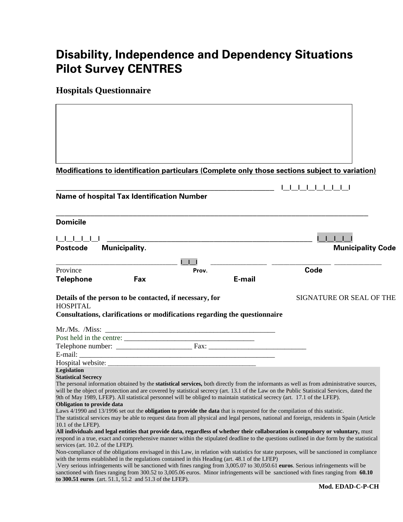# **Disability, Independence and Dependency Situations Pilot Survey CENTRES**

**Hospitals Questionnaire** 

|                                    | <b>Modifications to identification particulars (Complete only those sections subject to variation)</b>                                                                                                                                                                            |       |        |                   |                          |
|------------------------------------|-----------------------------------------------------------------------------------------------------------------------------------------------------------------------------------------------------------------------------------------------------------------------------------|-------|--------|-------------------|--------------------------|
|                                    |                                                                                                                                                                                                                                                                                   |       |        | 1 1 1 1 1 1 1 1 1 |                          |
|                                    | <b>Name of hospital Tax Identification Number</b>                                                                                                                                                                                                                                 |       |        |                   |                          |
| <b>Domicile</b>                    |                                                                                                                                                                                                                                                                                   |       |        |                   |                          |
|                                    |                                                                                                                                                                                                                                                                                   |       |        |                   |                          |
| <b>Postcode</b>                    | <b>Municipality.</b>                                                                                                                                                                                                                                                              |       |        |                   | <b>Municipality Code</b> |
| Province                           |                                                                                                                                                                                                                                                                                   | Prov. |        | Code              |                          |
| <b>Telephone</b>                   | Fax                                                                                                                                                                                                                                                                               |       | E-mail |                   |                          |
|                                    | Details of the person to be contacted, if necessary, for                                                                                                                                                                                                                          |       |        |                   | SIGNATURE OR SEAL OF THE |
| <b>HOSPITAL</b>                    |                                                                                                                                                                                                                                                                                   |       |        |                   |                          |
|                                    | Consultations, clarifications or modifications regarding the questionnaire                                                                                                                                                                                                        |       |        |                   |                          |
|                                    |                                                                                                                                                                                                                                                                                   |       |        |                   |                          |
|                                    |                                                                                                                                                                                                                                                                                   |       |        |                   |                          |
|                                    |                                                                                                                                                                                                                                                                                   |       |        |                   |                          |
|                                    |                                                                                                                                                                                                                                                                                   |       |        |                   |                          |
|                                    |                                                                                                                                                                                                                                                                                   |       |        |                   |                          |
| <b>Legislation</b>                 |                                                                                                                                                                                                                                                                                   |       |        |                   |                          |
| <b>Statistical Secrecy</b>         | The personal information obtained by the statistical services, both directly from the informants as well as from administrative sources,                                                                                                                                          |       |        |                   |                          |
|                                    | will be the object of protection and are covered by statistical secrecy (art. 13.1 of the Law on the Public Statistical Services, dated the                                                                                                                                       |       |        |                   |                          |
|                                    | 9th of May 1989, LFEP). All statistical personnel will be obliged to maintain statistical secrecy (art. 17.1 of the LFEP).                                                                                                                                                        |       |        |                   |                          |
| <b>Obligation to provide data</b>  |                                                                                                                                                                                                                                                                                   |       |        |                   |                          |
|                                    | Laws 4/1990 and 13/1996 set out the <b>obligation to provide the data</b> that is requested for the compilation of this statistic.<br>The statistical services may be able to request data from all physical and legal persons, national and foreign, residents in Spain (Article |       |        |                   |                          |
| 10.1 of the LFEP).                 |                                                                                                                                                                                                                                                                                   |       |        |                   |                          |
|                                    | All individuals and legal entities that provide data, regardless of whether their collaboration is compulsory or voluntary, must                                                                                                                                                  |       |        |                   |                          |
|                                    | respond in a true, exact and comprehensive manner within the stipulated deadline to the questions outlined in due form by the statistical                                                                                                                                         |       |        |                   |                          |
| services (art. 10.2. of the LFEP). |                                                                                                                                                                                                                                                                                   |       |        |                   |                          |
|                                    | Non-compliance of the obligations envisaged in this Law, in relation with statistics for state purposes, will be sanctioned in compliance<br>with the terms established in the regulations contained in this Heading (art. 48.1 of the LFEP)                                      |       |        |                   |                          |
|                                    | . Very serious infringements will be sanctioned with fines ranging from 3,005.07 to 30,050.61 euros. Serious infringements will be                                                                                                                                                |       |        |                   |                          |
|                                    | sanctioned with fines ranging from 300.52 to 3,005.06 euros. Minor infringements will be sanctioned with fines ranging from 60.10                                                                                                                                                 |       |        |                   |                          |
|                                    | to 300.51 euros (art. 51.1, 51.2 and 51.3 of the LFEP).                                                                                                                                                                                                                           |       |        |                   | Mod EDAD.C.P.CH          |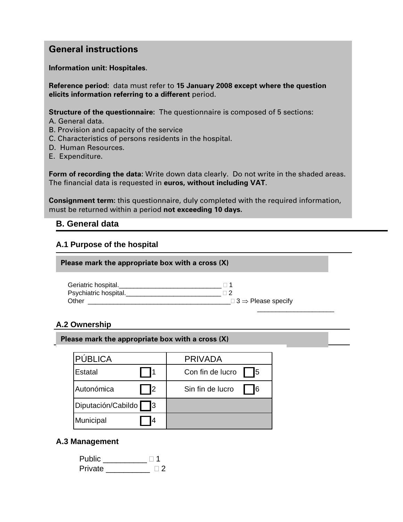## **General instructions**

**Information unit: Hospitales**.

**Reference period:** data must refer to **15 January 2008 except where the question elicits information referring to a different** period.

**Structure of the questionnaire:** The questionnaire is composed of 5 sections:

- A. General data.
- B. Provision and capacity of the service
- C. Characteristics of persons residents in the hospital.
- D. Human Resources.
- E. Expenditure.

**Form of recording the data:** Write down data clearly. Do not write in the shaded areas. The financial data is requested in **euros, without including VAT**.

**Consignment term:** this questionnaire, duly completed with the required information, must be returned within a period **not exceeding 10 days.** 

#### **B. General data**

#### **A.1 Purpose of the hospital**

**Please mark the appropriate box with a cross (X)** 

| Geriatric hospital.   |                                       |
|-----------------------|---------------------------------------|
| Psychiatric hospital. |                                       |
| Other                 | $\Box$ 3 $\Rightarrow$ Please specify |
|                       |                                       |

#### **A.2 Ownership**

| Please mark the appropriate box with a cross (X) |  |  |  |  |  |  |  |  |  |  |  |  |
|--------------------------------------------------|--|--|--|--|--|--|--|--|--|--|--|--|
|--------------------------------------------------|--|--|--|--|--|--|--|--|--|--|--|--|

| PÚBLICA                  | <b>PRIVADA</b>         |
|--------------------------|------------------------|
| Estatal                  | 15<br>Con fin de lucro |
| Autonómica<br>2          | I6<br>Sin fin de lucro |
| Diputación/Cabildo<br>IЗ |                        |
| Municipal<br>4           |                        |

#### **A.3 Management**

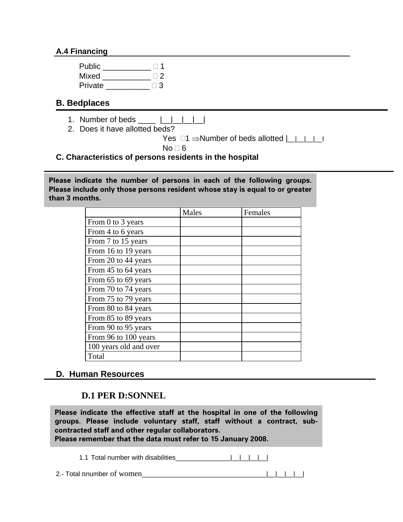#### **A.4 Financing**

| Public  | $\parallel$ 1 |
|---------|---------------|
| Mixed   | $\Box$        |
| Private | $\Box$ 3      |

## **B. Bedplaces**

- 1. Number of beds \_\_\_\_ |\_\_|\_\_|\_\_|\_\_|
- 2. Does it have allotted beds?

```
Yes \Box1 \Rightarrow Number of beds allotted | | | | |
```

```
No \sqcap 6
```
**C. Characteristics of persons residents in the hospital** 

**Please indicate the number of persons in each of the following groups. Please include only those persons resident whose stay is equal to or greater than 3 months.** 

|                        | Males | Females |
|------------------------|-------|---------|
| From 0 to 3 years      |       |         |
| From 4 to 6 years      |       |         |
| From 7 to 15 years     |       |         |
| From 16 to 19 years    |       |         |
| From 20 to 44 years    |       |         |
| From 45 to 64 years    |       |         |
| From 65 to 69 years    |       |         |
| From 70 to 74 years    |       |         |
| From 75 to 79 years    |       |         |
| From 80 to 84 years    |       |         |
| From 85 to 89 years    |       |         |
| From 90 to 95 years    |       |         |
| From 96 to 100 years   |       |         |
| 100 years old and over |       |         |
| Total                  |       |         |

#### **D. Human Resources**

## **D.1 PER D:SONNEL**

**Please indicate the effective staff at the hospital in one of the following groups. Please include voluntary staff, staff without a contract, subcontracted staff and other regular collaborators.** 

Please remember that the data must refer to 15 January 2008.  $\blacksquare$ 

1.1 Total number with disabilities\_\_\_\_\_\_\_\_\_\_\_\_\_\_\_|\_\_|\_\_|\_\_|\_\_|

2.- Total nnumber of women\_\_\_\_\_\_\_\_\_\_\_\_\_\_\_\_\_\_\_\_\_\_\_\_\_\_\_\_\_\_\_\_\_\_|\_\_|\_\_|\_\_|\_\_|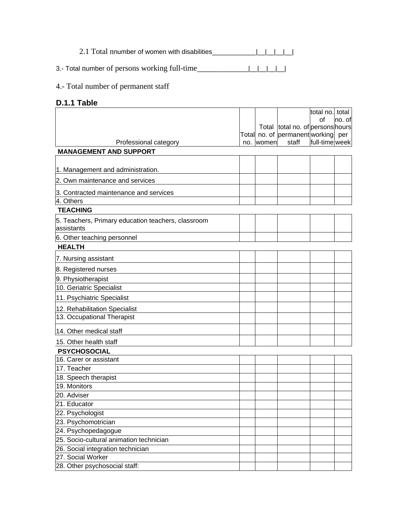2.1 Total nnumber of women with disabilities\_\_\_\_\_\_\_\_\_\_\_\_\_|\_\_|\_\_|\_\_|\_\_|\_\_|

3.- Total number of persons working full-time\_\_\_\_\_\_\_\_\_\_\_\_\_\_|\_\_|\_\_|\_\_|\_\_|

#### 4.- Total number of permanent staff

## **D.1.1 Table**

|                                                    |     |       |                                             | total no. total |         |
|----------------------------------------------------|-----|-------|---------------------------------------------|-----------------|---------|
|                                                    |     |       |                                             | of              | lno. of |
|                                                    |     |       | Total total no. of persons hours            |                 |         |
|                                                    |     |       | Total no. of permanent working per<br>staff | full-time week  |         |
| Professional category                              | no. | women |                                             |                 |         |
| <b>MANAGEMENT AND SUPPORT</b>                      |     |       |                                             |                 |         |
|                                                    |     |       |                                             |                 |         |
| 1. Management and administration.                  |     |       |                                             |                 |         |
| 2. Own maintenance and services                    |     |       |                                             |                 |         |
| 3. Contracted maintenance and services             |     |       |                                             |                 |         |
| 4. Others                                          |     |       |                                             |                 |         |
| <b>TEACHING</b>                                    |     |       |                                             |                 |         |
| 5. Teachers, Primary education teachers, classroom |     |       |                                             |                 |         |
| assistants                                         |     |       |                                             |                 |         |
| 6. Other teaching personnel                        |     |       |                                             |                 |         |
| <b>HEALTH</b>                                      |     |       |                                             |                 |         |
| 7. Nursing assistant                               |     |       |                                             |                 |         |
| 8. Registered nurses                               |     |       |                                             |                 |         |
|                                                    |     |       |                                             |                 |         |
| 9. Physiotherapist<br>10. Geriatric Specialist     |     |       |                                             |                 |         |
|                                                    |     |       |                                             |                 |         |
| 11. Psychiatric Specialist                         |     |       |                                             |                 |         |
| 12. Rehabilitation Specialist                      |     |       |                                             |                 |         |
| 13. Occupational Therapist                         |     |       |                                             |                 |         |
| 14. Other medical staff                            |     |       |                                             |                 |         |
| 15. Other health staff                             |     |       |                                             |                 |         |
| <b>PSYCHOSOCIAL</b>                                |     |       |                                             |                 |         |
| 16. Carer or assistant                             |     |       |                                             |                 |         |
| $\overline{17}$ . Teacher                          |     |       |                                             |                 |         |
| 18. Speech therapist                               |     |       |                                             |                 |         |
| 19. Monitors                                       |     |       |                                             |                 |         |
| 20. Adviser                                        |     |       |                                             |                 |         |
| 21. Educator                                       |     |       |                                             |                 |         |
| 22. Psychologist                                   |     |       |                                             |                 |         |
| 23. Psychomotrician                                |     |       |                                             |                 |         |
| 24. Psychopedagogue                                |     |       |                                             |                 |         |
| 25. Socio-cultural animation technician            |     |       |                                             |                 |         |
| 26. Social integration technician                  |     |       |                                             |                 |         |
| 27. Social Worker                                  |     |       |                                             |                 |         |
| 28. Other psychosocial staff:                      |     |       |                                             |                 |         |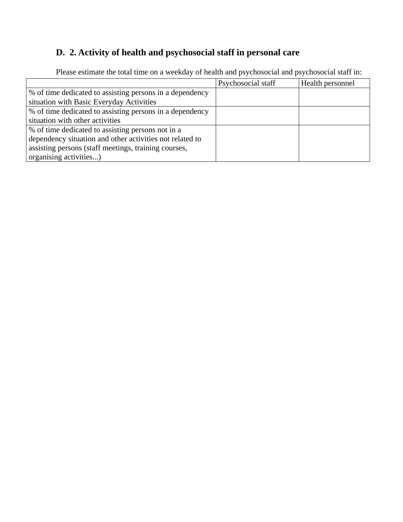## **D. 2. Activity of health and psychosocial staff in personal care**

|                                                          | Psychosocial staff | Health personnel |
|----------------------------------------------------------|--------------------|------------------|
| % of time dedicated to assisting persons in a dependency |                    |                  |
| situation with Basic Everyday Activities                 |                    |                  |
| % of time dedicated to assisting persons in a dependency |                    |                  |
| situation with other activities                          |                    |                  |
| % of time dedicated to assisting persons not in a        |                    |                  |
| dependency situation and other activities not related to |                    |                  |
| assisting persons (staff meetings, training courses,     |                    |                  |
| organising activities)                                   |                    |                  |

Please estimate the total time on a weekday of health and psychosocial and psychosocial staff in: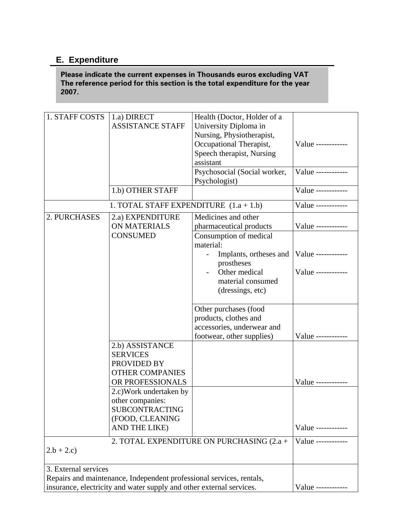## **E. Expenditure**

**Please indicate the current expenses in Thousands euros excluding VAT The reference period for this section is the total expenditure for the year 2007.**

| 1. STAFF COSTS                                                       | 1.a) DIRECT                              | Health (Doctor, Holder of a               |                    |
|----------------------------------------------------------------------|------------------------------------------|-------------------------------------------|--------------------|
|                                                                      | <b>ASSISTANCE STAFF</b>                  | University Diploma in                     |                    |
|                                                                      |                                          | Nursing, Physiotherapist,                 |                    |
|                                                                      |                                          | Occupational Therapist,                   | Value ------------ |
|                                                                      |                                          | Speech therapist, Nursing                 |                    |
|                                                                      |                                          | assistant                                 |                    |
|                                                                      |                                          |                                           | Value ------------ |
|                                                                      |                                          | Psychosocial (Social worker,              |                    |
|                                                                      |                                          | Psychologist)                             |                    |
|                                                                      | 1.b) OTHER STAFF                         |                                           | Value ------------ |
|                                                                      | 1. TOTAL STAFF EXPENDITURE $(1.a + 1.b)$ |                                           | Value ------------ |
| 2. PURCHASES                                                         | 2.a) EXPENDITURE                         | Medicines and other                       |                    |
|                                                                      | <b>ON MATERIALS</b>                      | pharmaceutical products                   | Value ------------ |
|                                                                      | <b>CONSUMED</b>                          | Consumption of medical                    |                    |
|                                                                      |                                          |                                           |                    |
|                                                                      |                                          | material:                                 |                    |
|                                                                      |                                          | Implants, ortheses and                    | Value ------------ |
|                                                                      |                                          | prostheses                                |                    |
|                                                                      |                                          | Other medical                             | Value ------------ |
|                                                                      |                                          | material consumed                         |                    |
|                                                                      |                                          | (dressings, etc)                          |                    |
|                                                                      |                                          |                                           |                    |
|                                                                      |                                          | Other purchases (food                     |                    |
|                                                                      |                                          | products, clothes and                     |                    |
|                                                                      |                                          | accessories, underwear and                |                    |
|                                                                      |                                          |                                           |                    |
|                                                                      |                                          | footwear, other supplies)                 | Value ------------ |
|                                                                      | 2.b) ASSISTANCE                          |                                           |                    |
|                                                                      | <b>SERVICES</b>                          |                                           |                    |
|                                                                      | PROVIDED BY                              |                                           |                    |
|                                                                      | <b>OTHER COMPANIES</b>                   |                                           |                    |
|                                                                      | OR PROFESSIONALS                         |                                           | Value -----------  |
|                                                                      | 2.c) Work undertaken by                  |                                           |                    |
|                                                                      | other companies:                         |                                           |                    |
|                                                                      |                                          |                                           |                    |
|                                                                      | <b>SUBCONTRACTING</b>                    |                                           |                    |
|                                                                      | (FOOD, CLEANING                          |                                           |                    |
|                                                                      | AND THE LIKE)                            |                                           | Value ------------ |
|                                                                      |                                          | 2. TOTAL EXPENDITURE ON PURCHASING (2.a + | Value ------------ |
| $2.b + 2.c)$                                                         |                                          |                                           |                    |
|                                                                      |                                          |                                           |                    |
| 3. External services                                                 |                                          |                                           |                    |
| Repairs and maintenance, Independent professional services, rentals, |                                          |                                           |                    |
| insurance, electricity and water supply and other external services. | Value ------------                       |                                           |                    |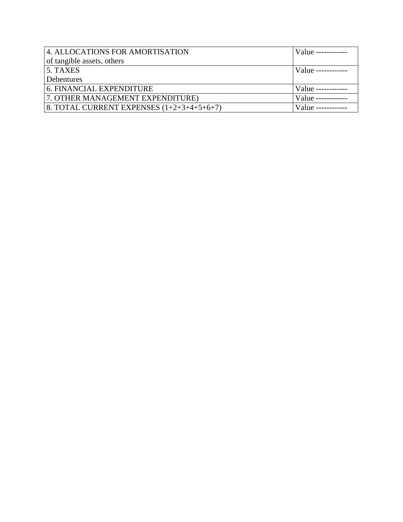| 4. ALLOCATIONS FOR AMORTISATION             | Value ------------    |
|---------------------------------------------|-----------------------|
| of tangible assets, others                  |                       |
| 5. TAXES                                    | $Value$ ------------- |
| Debentures                                  |                       |
| 6. FINANCIAL EXPENDITURE                    | Value ---             |
| 7. OTHER MANAGEMENT EXPENDITURE)            | Value ----            |
| 8. TOTAL CURRENT EXPENSES $(1+2+3+4+5+6+7)$ | Value --              |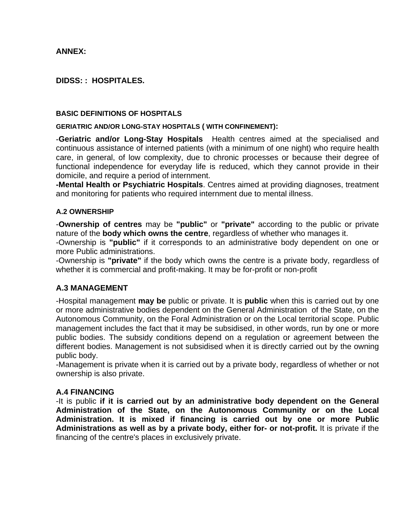#### **ANNEX:**

#### **DIDSS: : HOSPITALES.**

#### **BASIC DEFINITIONS OF HOSPITALS**

#### **GERIATRIC AND/OR LONG-STAY HOSPITALS ( WITH CONFINEMENT):**

**-Geriatric and/or Long-Stay Hospitals** Health centres aimed at the specialised and continuous assistance of interned patients (with a minimum of one night) who require health care, in general, of low complexity, due to chronic processes or because their degree of functional independence for everyday life is reduced, which they cannot provide in their domicile, and require a period of internment.

**-Mental Health or Psychiatric Hospitals**. Centres aimed at providing diagnoses, treatment and monitoring for patients who required internment due to mental illness.

#### **A.2 OWNERSHIP**

-**Ownership of centres** may be **"public"** or **"private"** according to the public or private nature of the **body which owns the centre**, regardless of whether who manages it.

-Ownership is **"public"** if it corresponds to an administrative body dependent on one or more Public administrations.

-Ownership is **"private"** if the body which owns the centre is a private body, regardless of whether it is commercial and profit-making. It may be for-profit or non-profit

#### **A.3 MANAGEMENT**

-Hospital management **may be** public or private. It is **public** when this is carried out by one or more administrative bodies dependent on the General Administration of the State, on the Autonomous Community, on the Foral Administration or on the Local territorial scope. Public management includes the fact that it may be subsidised, in other words, run by one or more public bodies. The subsidy conditions depend on a regulation or agreement between the different bodies. Management is not subsidised when it is directly carried out by the owning public body.

-Management is private when it is carried out by a private body, regardless of whether or not ownership is also private.

#### **A.4 FINANCING**

-It is public **if it is carried out by an administrative body dependent on the General Administration of the State, on the Autonomous Community or on the Local Administration. It is mixed if financing is carried out by one or more Public Administrations as well as by a private body, either for- or not-profit.** It is private if the financing of the centre's places in exclusively private.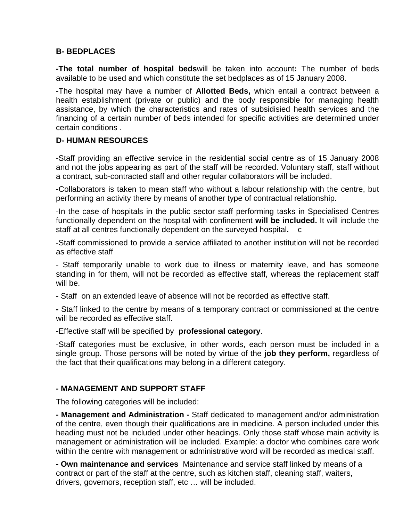#### **B- BEDPLACES**

**-The total number of hospital beds**will be taken into account**:** The number of beds available to be used and which constitute the set bedplaces as of 15 January 2008.

-The hospital may have a number of **Allotted Beds,** which entail a contract between a health establishment (private or public) and the body responsible for managing health assistance, by which the characteristics and rates of subsidisied health services and the financing of a certain number of beds intended for specific activities are determined under certain conditions .

#### **D- HUMAN RESOURCES**

-Staff providing an effective service in the residential social centre as of 15 January 2008 and not the jobs appearing as part of the staff will be recorded. Voluntary staff, staff without a contract, sub-contracted staff and other regular collaborators will be included.

-Collaborators is taken to mean staff who without a labour relationship with the centre, but performing an activity there by means of another type of contractual relationship.

-In the case of hospitals in the public sector staff performing tasks in Specialised Centres functionally dependent on the hospital with confinement **will be included.** It will include the staff at all centres functionally dependent on the surveyed hospital**.** c

-Staff commissioned to provide a service affiliated to another institution will not be recorded as effective staff

- Staff temporarily unable to work due to illness or maternity leave, and has someone standing in for them, will not be recorded as effective staff, whereas the replacement staff will be.

- Staff on an extended leave of absence will not be recorded as effective staff.

**-** Staff linked to the centre by means of a temporary contract or commissioned at the centre will be recorded as effective staff.

-Effective staff will be specified by **professional category**.

-Staff categories must be exclusive, in other words, each person must be included in a single group. Those persons will be noted by virtue of the **job they perform,** regardless of the fact that their qualifications may belong in a different category.

#### **- MANAGEMENT AND SUPPORT STAFF**

The following categories will be included:

**- Management and Administration -** Staff dedicated to management and/or administration of the centre, even though their qualifications are in medicine. A person included under this heading must not be included under other headings. Only those staff whose main activity is management or administration will be included. Example: a doctor who combines care work within the centre with management or administrative word will be recorded as medical staff.

**- Own maintenance and services** Maintenance and service staff linked by means of a contract or part of the staff at the centre, such as kitchen staff, cleaning staff, waiters, drivers, governors, reception staff, etc … will be included.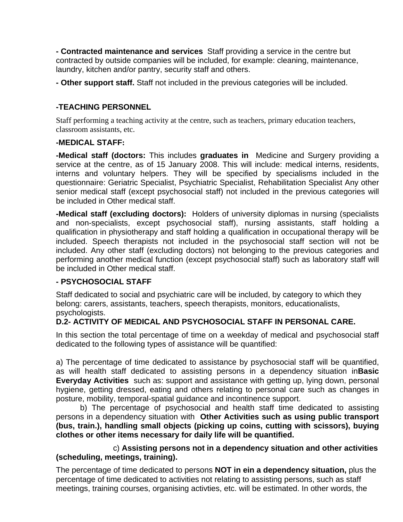**- Contracted maintenance and services** Staff providing a service in the centre but contracted by outside companies will be included, for example: cleaning, maintenance, laundry, kitchen and/or pantry, security staff and others.

**- Other support staff.** Staff not included in the previous categories will be included.

### **-TEACHING PERSONNEL**

Staff performing a teaching activity at the centre, such as teachers, primary education teachers, classroom assistants, etc.

#### **-MEDICAL STAFF:**

**-Medical staff (doctors:** This includes **graduates in** Medicine and Surgery providing a service at the centre, as of 15 January 2008. This will include: medical interns, residents, interns and voluntary helpers. They will be specified by specialisms included in the questionnaire: Geriatric Specialist, Psychiatric Specialist, Rehabilitation Specialist Any other senior medical staff (except psychosocial staff) not included in the previous categories will be included in Other medical staff.

**-Medical staff (excluding doctors):** Holders of university diplomas in nursing (specialists and non-specialists, except psychosocial staff), nursing assistants, staff holding a qualification in physiotherapy and staff holding a qualification in occupational therapy will be included. Speech therapists not included in the psychosocial staff section will not be included. Any other staff (excluding doctors) not belonging to the previous categories and performing another medical function (except psychosocial staff) such as laboratory staff will be included in Other medical staff.

## **- PSYCHOSOCIAL STAFF**

Staff dedicated to social and psychiatric care will be included, by category to which they belong: carers, assistants, teachers, speech therapists, monitors, educationalists, psychologists.

## **D.2- ACTIVITY OF MEDICAL AND PSYCHOSOCIAL STAFF IN PERSONAL CARE.**

In this section the total percentage of time on a weekday of medical and psychosocial staff dedicated to the following types of assistance will be quantified:

a) The percentage of time dedicated to assistance by psychosocial staff will be quantified, as will health staff dedicated to assisting persons in a dependency situation in**Basic Everyday Activities** such as: support and assistance with getting up, lying down, personal hygiene, getting dressed, eating and others relating to personal care such as changes in posture, mobility, temporal-spatial guidance and incontinence support.

 b) The percentage of psychosocial and health staff time dedicated to assisting persons in a dependency situation with **Other Activities such as using public transport (bus, train.), handling small objects (picking up coins, cutting with scissors), buying clothes or other items necessary for daily life will be quantified.** 

 c) **Assisting persons not in a dependency situation and other activities (scheduling, meetings, training).** 

The percentage of time dedicated to persons **NOT in ein a dependency situation,** plus the percentage of time dedicated to activities not relating to assisting persons, such as staff meetings, training courses, organising activties, etc. will be estimated. In other words, the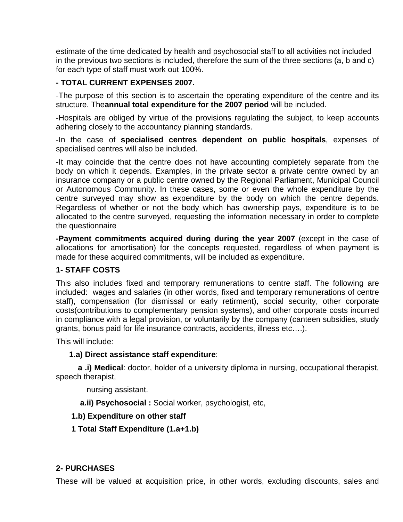estimate of the time dedicated by health and psychosocial staff to all activities not included in the previous two sections is included, therefore the sum of the three sections (a, b and c) for each type of staff must work out 100%.

## **- TOTAL CURRENT EXPENSES 2007.**

-The purpose of this section is to ascertain the operating expenditure of the centre and its structure. The**annual total expenditure for the 2007 period** will be included.

-Hospitals are obliged by virtue of the provisions regulating the subject, to keep accounts adhering closely to the accountancy planning standards.

-In the case of **specialised centres dependent on public hospitals**, expenses of specialised centres will also be included.

-It may coincide that the centre does not have accounting completely separate from the body on which it depends. Examples, in the private sector a private centre owned by an insurance company or a public centre owned by the Regional Parliament, Municipal Council or Autonomous Community. In these cases, some or even the whole expenditure by the centre surveyed may show as expenditure by the body on which the centre depends. Regardless of whether or not the body which has ownership pays, expenditure is to be allocated to the centre surveyed, requesting the information necessary in order to complete the questionnaire

**-Payment commitments acquired during during the year 2007** (except in the case of allocations for amortisation) for the concepts requested, regardless of when payment is made for these acquired commitments, will be included as expenditure.

## **1- STAFF COSTS**

This also includes fixed and temporary remunerations to centre staff. The following are included: wages and salaries (in other words, fixed and temporary remunerations of centre staff), compensation (for dismissal or early retirment), social security, other corporate costs(contributions to complementary pension systems), and other corporate costs incurred in compliance with a legal provision, or voluntarily by the company (canteen subsidies, study grants, bonus paid for life insurance contracts, accidents, illness etc….).

This will include:

## **1.a) Direct assistance staff expenditure**:

 **a .i) Medical**: doctor, holder of a university diploma in nursing, occupational therapist, speech therapist,

nursing assistant.

**a.ii) Psychosocial :** Social worker, psychologist, etc,

## **1.b) Expenditure on other staff**

 **1 Total Staff Expenditure (1.a+1.b)** 

## **2- PURCHASES**

These will be valued at acquisition price, in other words, excluding discounts, sales and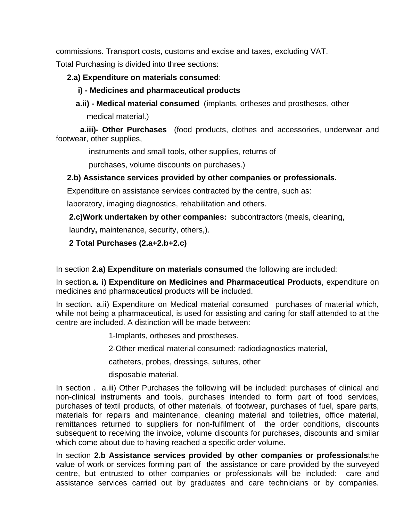commissions. Transport costs, customs and excise and taxes, excluding VAT.

Total Purchasing is divided into three sections:

## **2.a) Expenditure on materials consumed**:

## **i) - Medicines and pharmaceutical products**

 **a.ii) - Medical material consumed** (implants, ortheses and prostheses, other medical material.)

 **a.iii)- Other Purchases** (food products, clothes and accessories, underwear and footwear, other supplies,

instruments and small tools, other supplies, returns of

purchases, volume discounts on purchases.)

## **2.b) Assistance services provided by other companies or professionals.**

Expenditure on assistance services contracted by the centre, such as:

laboratory, imaging diagnostics, rehabilitation and others.

**2.c)Work undertaken by other companies:** subcontractors (meals, cleaning,

laundry**,** maintenance, security, others,).

## **2 Total Purchases (2.a+2.b+2.c)**

In section **2.a) Expenditure on materials consumed** the following are included:

In section*.***a. i) Expenditure on Medicines and Pharmaceutical Products**, expenditure on medicines and pharmaceutical products will be included.

In section*.* a.ii) Expenditure on Medical material consumed purchases of material which, while not being a pharmaceutical, is used for assisting and caring for staff attended to at the centre are included. A distinction will be made between:

1-Implants, ortheses and prostheses.

2-Other medical material consumed: radiodiagnostics material,

catheters, probes, dressings, sutures, other

disposable material.

In section *.* a.iii) Other Purchases the following will be included: purchases of clinical and non-clinical instruments and tools, purchases intended to form part of food services, purchases of textil products, of other materials, of footwear, purchases of fuel, spare parts, materials for repairs and maintenance, cleaning material and toiletries, office material, remittances returned to suppliers for non-fulfilment of the order conditions, discounts subsequent to receiving the invoice, volume discounts for purchases, discounts and similar which come about due to having reached a specific order volume.

In section **2.b Assistance services provided by other companies or professionals**the value of work or services forming part of the assistance or care provided by the surveyed centre, but entrusted to other companies or professionals will be included: care and assistance services carried out by graduates and care technicians or by companies.